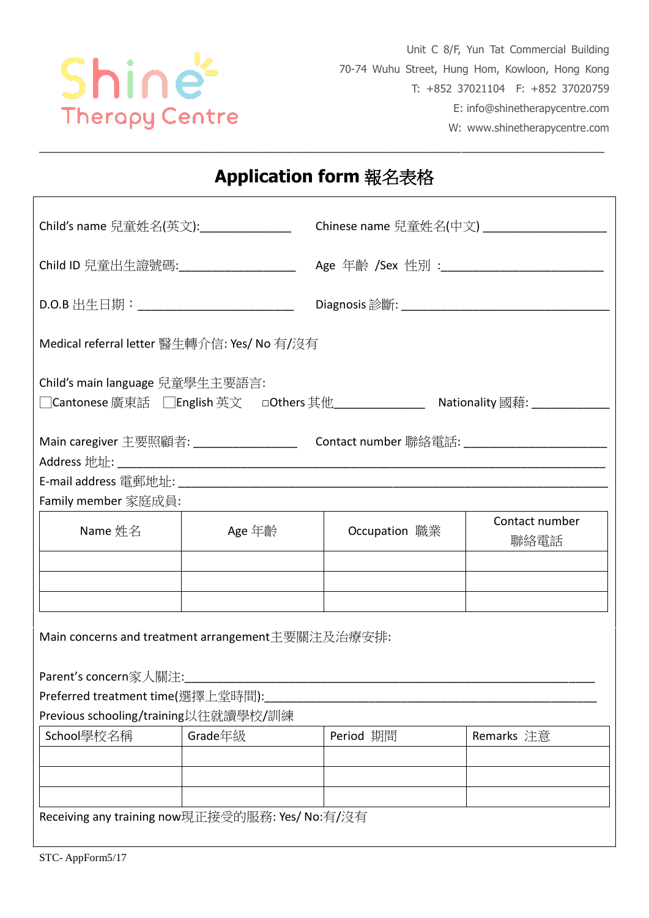

Unit C 8/F, Yun Tat Commercial Building 70-74 Wuhu Street, Hung Hom, Kowloon, Hong Kong T: +852 37021104 F: +852 37020759 E: info@shinetherapycentre.com W: www.shinetherapycentre.com

## **Application form** 報名表格

 $\_$  , and the set of the set of the set of the set of the set of the set of the set of the set of the set of the set of the set of the set of the set of the set of the set of the set of the set of the set of the set of th

| Child's name 兒童姓名(英文):_______________                                                                                      |                                | Chinese name 兒童姓名(中文) ____________________   |                        |  |  |  |
|----------------------------------------------------------------------------------------------------------------------------|--------------------------------|----------------------------------------------|------------------------|--|--|--|
| Child ID 兒童出生證號碼:_____________________                                                                                     |                                | Age 年齡 /Sex 性別 :____________________________ |                        |  |  |  |
| D.O.B 出生日期:____________________________                                                                                    |                                |                                              |                        |  |  |  |
| Medical referral letter 醫生轉介信: Yes/ No 有/沒有                                                                                |                                |                                              |                        |  |  |  |
| Child's main language 兒童學生主要語言:<br>□Cantonese 廣東話 □English 英文   □Others 其他________________                                 |                                |                                              |                        |  |  |  |
| Main caregiver 主要照顧者: ________________________Contact number 聯絡電話: ________________________________<br>Family member 家庭成員: |                                |                                              |                        |  |  |  |
| Name 姓名                                                                                                                    | and the state of the<br>Age 年齡 | Occupation 職業                                | Contact number<br>聯絡電話 |  |  |  |
|                                                                                                                            |                                |                                              |                        |  |  |  |
| Main concerns and treatment arrangement主要關注及治療安排:<br>Preferred treatment time(選擇上堂時間):                                     |                                |                                              |                        |  |  |  |
| Previous schooling/training以往就讀學校/訓練                                                                                       |                                |                                              |                        |  |  |  |
| School學校名稱                                                                                                                 | Grade年級                        | Period 期間                                    | Remarks 注意             |  |  |  |
| Receiving any training now現正接受的服務: Yes/ No:有/沒有<br>STC-AppForm5/17                                                         |                                |                                              |                        |  |  |  |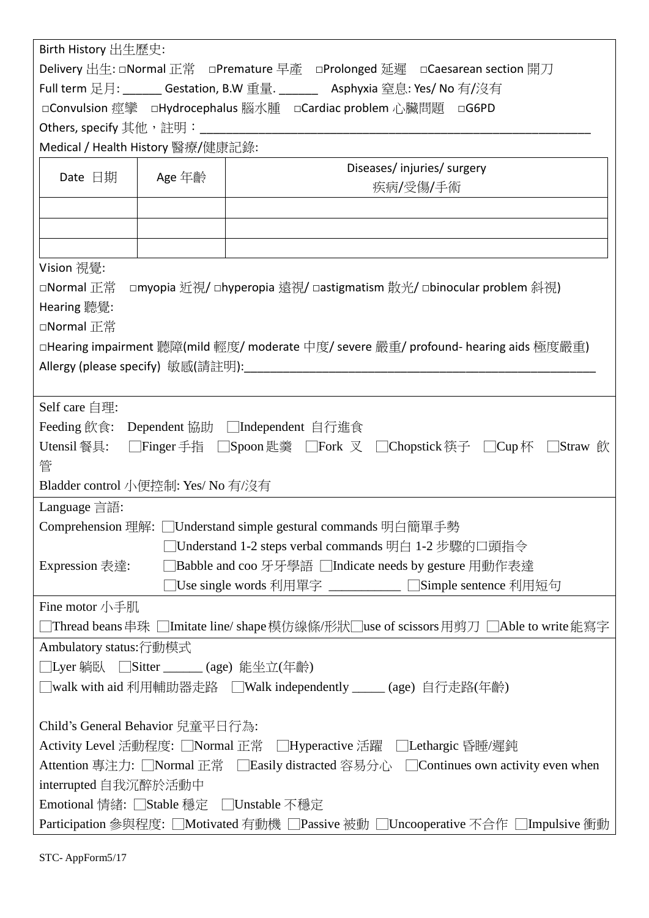|                                                                                      | Birth History 出生歷史:                    |                                                                                      |  |  |  |  |
|--------------------------------------------------------------------------------------|----------------------------------------|--------------------------------------------------------------------------------------|--|--|--|--|
| Delivery 出生: □Normal 正常 □Premature 早產 □Prolonged 延遲 □Caesarean section 開刀            |                                        |                                                                                      |  |  |  |  |
| Full term 足月: _______ Gestation, B.W 重量. _______ Asphyxia 窒息: Yes/ No 有/沒有           |                                        |                                                                                      |  |  |  |  |
| □Convulsion 痙攣 □Hydrocephalus 腦水腫 □Cardiac problem 心臟問題 □G6PD                        |                                        |                                                                                      |  |  |  |  |
|                                                                                      |                                        | Others, specify 其他,註明:___________________________                                    |  |  |  |  |
| Medical / Health History 醫療/健康記錄:                                                    |                                        |                                                                                      |  |  |  |  |
|                                                                                      |                                        | Diseases/injuries/surgery                                                            |  |  |  |  |
| Date 日期                                                                              | Age 年齡                                 | 疾病/受傷/手術                                                                             |  |  |  |  |
|                                                                                      |                                        |                                                                                      |  |  |  |  |
|                                                                                      |                                        |                                                                                      |  |  |  |  |
|                                                                                      |                                        |                                                                                      |  |  |  |  |
| Vision 視覺:                                                                           |                                        |                                                                                      |  |  |  |  |
|                                                                                      |                                        | □Normal 正常 □myopia 近視/ □hyperopia 遠視/ □astigmatism 散光/ □binocular problem 斜視)        |  |  |  |  |
| Hearing 聽覺:                                                                          |                                        |                                                                                      |  |  |  |  |
| □Normal 正常                                                                           |                                        |                                                                                      |  |  |  |  |
|                                                                                      |                                        | □Hearing impairment 聽障(mild 輕度/ moderate 中度/ severe 嚴重/ profound- hearing aids 極度嚴重) |  |  |  |  |
| Allergy (please specify) 敏感(請註明):                                                    |                                        |                                                                                      |  |  |  |  |
|                                                                                      |                                        |                                                                                      |  |  |  |  |
| Self care 自理:                                                                        |                                        |                                                                                      |  |  |  |  |
| Feeding 飲食: Dependent 協助 □Independent 自行進食                                           |                                        |                                                                                      |  |  |  |  |
| Utensil 餐具: □ Finger 手指 □ Spoon 匙羹 □ Fork 又 □ Chopstick 筷子 □ Cup 杯 □ Straw 飲         |                                        |                                                                                      |  |  |  |  |
| 管                                                                                    |                                        |                                                                                      |  |  |  |  |
| Bladder control 小便控制: Yes/ No 有/沒有                                                   |                                        |                                                                                      |  |  |  |  |
| Language 言語:                                                                         |                                        |                                                                                      |  |  |  |  |
|                                                                                      |                                        | Comprehension 理解: □Understand simple gestural commands 明白簡單手勢                        |  |  |  |  |
| Understand 1-2 steps verbal commands 明白 1-2 步驟的口頭指令                                  |                                        |                                                                                      |  |  |  |  |
| □ Babble and coo 牙牙學語 □ Indicate needs by gesture 用動作表達<br>Expression 表達:            |                                        |                                                                                      |  |  |  |  |
| Use single words 利用單字 ___________ □Simple sentence 利用短句                              |                                        |                                                                                      |  |  |  |  |
| Fine motor 小手肌                                                                       |                                        |                                                                                      |  |  |  |  |
| ]Thread beans 串珠 □Imitate line/ shape 模仿線條/形狀□use of scissors 用剪刀 □Able to write 能寫字 |                                        |                                                                                      |  |  |  |  |
| Ambulatory status:行動模式                                                               |                                        |                                                                                      |  |  |  |  |
| □Lyer 躺臥 □Sitter ______ (age) 能坐立(年齡)                                                |                                        |                                                                                      |  |  |  |  |
| □walk with aid 利用輔助器走路 □Walk independently _____ (age) 自行走路(年齡)                      |                                        |                                                                                      |  |  |  |  |
|                                                                                      |                                        |                                                                                      |  |  |  |  |
| Child's General Behavior 兒童平日行為:                                                     |                                        |                                                                                      |  |  |  |  |
| Activity Level 活動程度: □Normal 正常 □Hyperactive 活躍 □Lethargic 昏睡/遲鈍                     |                                        |                                                                                      |  |  |  |  |
| Attention 專注力: □Normal 正常 □Easily distracted 容易分心 □Continues own activity even when  |                                        |                                                                                      |  |  |  |  |
| interrupted 自我沉醉於活動中                                                                 |                                        |                                                                                      |  |  |  |  |
|                                                                                      | Emotional 情緒: □Stable 穩定 □Unstable 不穩定 |                                                                                      |  |  |  |  |
| Participation 參與程度: □Motivated 有動機 □Passive 被動 □Uncooperative 不合作 □Impulsive 衝動      |                                        |                                                                                      |  |  |  |  |